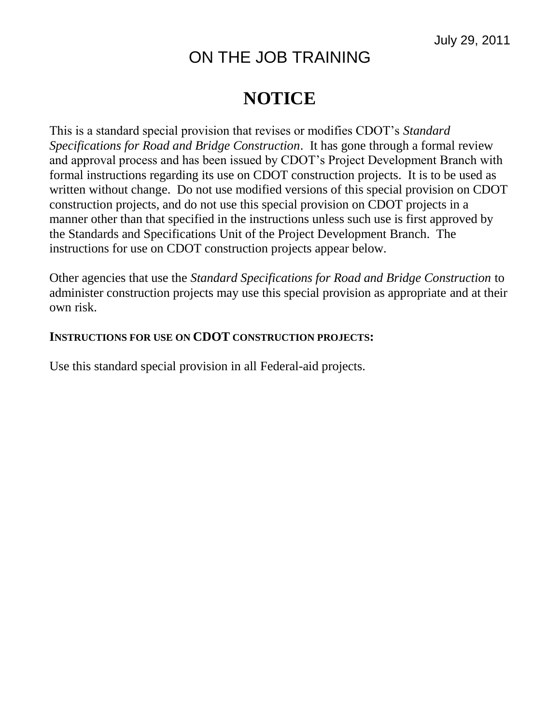## ON THE JOB TRAINING

## **NOTICE**

This is a standard special provision that revises or modifies CDOT's *Standard Specifications for Road and Bridge Construction*. It has gone through a formal review and approval process and has been issued by CDOT's Project Development Branch with formal instructions regarding its use on CDOT construction projects. It is to be used as written without change. Do not use modified versions of this special provision on CDOT construction projects, and do not use this special provision on CDOT projects in a manner other than that specified in the instructions unless such use is first approved by the Standards and Specifications Unit of the Project Development Branch. The instructions for use on CDOT construction projects appear below.

Other agencies that use the *Standard Specifications for Road and Bridge Construction* to administer construction projects may use this special provision as appropriate and at their own risk.

## **INSTRUCTIONS FOR USE ON CDOT CONSTRUCTION PROJECTS:**

Use this standard special provision in all Federal-aid projects.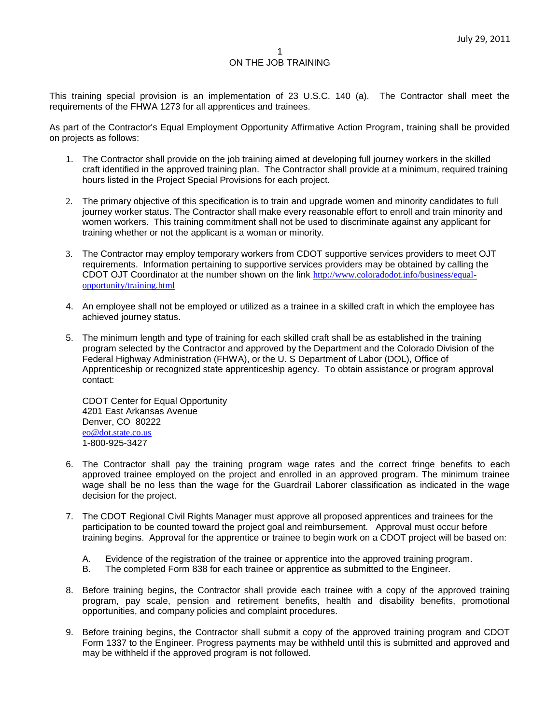This training special provision is an implementation of 23 U.S.C. 140 (a). The Contractor shall meet the requirements of the FHWA 1273 for all apprentices and trainees.

As part of the Contractor's Equal Employment Opportunity Affirmative Action Program, training shall be provided on projects as follows:

- 1. The Contractor shall provide on the job training aimed at developing full journey workers in the skilled craft identified in the approved training plan. The Contractor shall provide at a minimum, required training hours listed in the Project Special Provisions for each project.
- 2. The primary objective of this specification is to train and upgrade women and minority candidates to full journey worker status. The Contractor shall make every reasonable effort to enroll and train minority and women workers. This training commitment shall not be used to discriminate against any applicant for training whether or not the applicant is a woman or minority.
- 3. The Contractor may employ temporary workers from CDOT supportive services providers to meet OJT requirements. Information pertaining to supportive services providers may be obtained by calling the CDOT OJT Coordinator at the number shown on the link [http://www.coloradodot.info/business/equal](http://www.coloradodot.info/business/equal-opportunity/training.html)[opportunity/training.html](http://www.coloradodot.info/business/equal-opportunity/training.html)
- 4. An employee shall not be employed or utilized as a trainee in a skilled craft in which the employee has achieved journey status.
- 5. The minimum length and type of training for each skilled craft shall be as established in the training program selected by the Contractor and approved by the Department and the Colorado Division of the Federal Highway Administration (FHWA), or the U. S Department of Labor (DOL), Office of Apprenticeship or recognized state apprenticeship agency. To obtain assistance or program approval contact:

CDOT Center for Equal Opportunity 4201 East Arkansas Avenue Denver, CO 80222 [eo@dot.state.co.us](mailto:eo@dot.state.co.us) 1-800-925-3427

- 6. The Contractor shall pay the training program wage rates and the correct fringe benefits to each approved trainee employed on the project and enrolled in an approved program. The minimum trainee wage shall be no less than the wage for the Guardrail Laborer classification as indicated in the wage decision for the project.
- 7. The CDOT Regional Civil Rights Manager must approve all proposed apprentices and trainees for the participation to be counted toward the project goal and reimbursement. Approval must occur before training begins. Approval for the apprentice or trainee to begin work on a CDOT project will be based on:
	- A. Evidence of the registration of the trainee or apprentice into the approved training program.
	- B. The completed Form 838 for each trainee or apprentice as submitted to the Engineer.
- 8. Before training begins, the Contractor shall provide each trainee with a copy of the approved training program, pay scale, pension and retirement benefits, health and disability benefits, promotional opportunities, and company policies and complaint procedures.
- 9. Before training begins, the Contractor shall submit a copy of the approved training program and CDOT Form 1337 to the Engineer. Progress payments may be withheld until this is submitted and approved and may be withheld if the approved program is not followed.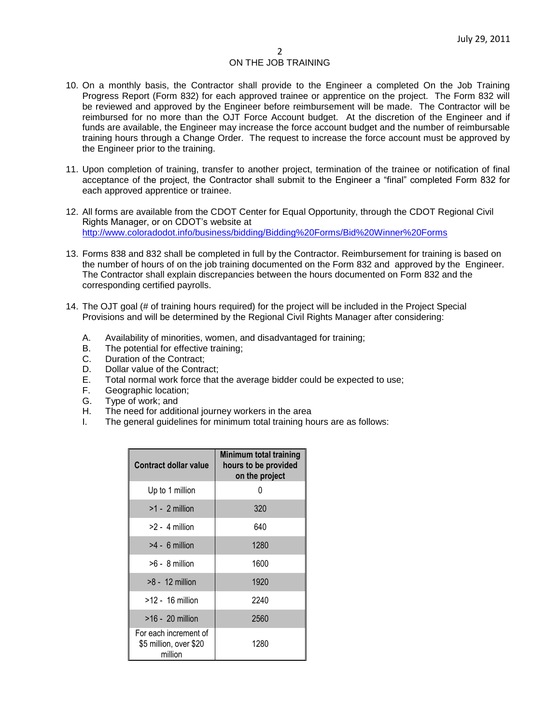- 10. On a monthly basis, the Contractor shall provide to the Engineer a completed On the Job Training Progress Report (Form 832) for each approved trainee or apprentice on the project. The Form 832 will be reviewed and approved by the Engineer before reimbursement will be made. The Contractor will be reimbursed for no more than the OJT Force Account budget. At the discretion of the Engineer and if funds are available, the Engineer may increase the force account budget and the number of reimbursable training hours through a Change Order. The request to increase the force account must be approved by the Engineer prior to the training.
- 11. Upon completion of training, transfer to another project, termination of the trainee or notification of final acceptance of the project, the Contractor shall submit to the Engineer a "final" completed Form 832 for each approved apprentice or trainee.
- 12. All forms are available from the CDOT Center for Equal Opportunity, through the CDOT Regional Civil Rights Manager, or on CDOT's website at <http://www.coloradodot.info/business/bidding/Bidding%20Forms/Bid%20Winner%20Forms>
- 13. Forms 838 and 832 shall be completed in full by the Contractor. Reimbursement for training is based on the number of hours of on the job training documented on the Form 832 and approved by the Engineer. The Contractor shall explain discrepancies between the hours documented on Form 832 and the corresponding certified payrolls.
- 14. The OJT goal (# of training hours required) for the project will be included in the Project Special Provisions and will be determined by the Regional Civil Rights Manager after considering:
	- A. Availability of minorities, women, and disadvantaged for training;
	- B. The potential for effective training;
	- C. Duration of the Contract;
	- D. Dollar value of the Contract:
	- E. Total normal work force that the average bidder could be expected to use;
	- F. Geographic location;
	- G. Type of work; and
	- H. The need for additional journey workers in the area
	- I. The general guidelines for minimum total training hours are as follows:

| Contract dollar value                                      | <b>Minimum total training</b><br>hours to be provided<br>on the project |
|------------------------------------------------------------|-------------------------------------------------------------------------|
| Up to 1 million                                            |                                                                         |
| $>1 - 2$ million                                           | 320                                                                     |
| $>2 - 4$ million                                           | 640                                                                     |
| $>4 - 6$ million                                           | 1280                                                                    |
| $>6 - 8$ million                                           | 1600                                                                    |
| $>8 - 12$ million                                          | 1920                                                                    |
| $>12 - 16$ million                                         | 2240                                                                    |
| $>16 - 20$ million                                         | 2560                                                                    |
| For each increment of<br>\$5 million, over \$20<br>million | 1280                                                                    |